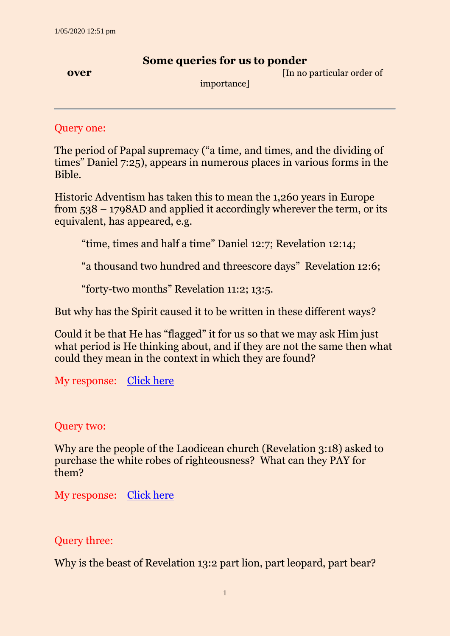## **Some queries for us to ponder**

**over** *COVER* **COVER** *COVER COVER COVER COVER COVER COVER COVER COVER COVER COVER COVER COVER COVER COVER COVER COVER COVER COVER COVER COVER* 

importance]

Query one:

The period of Papal supremacy ("a time, and times, and the dividing of times" Daniel 7:25), appears in numerous places in various forms in the Bible.

Historic Adventism has taken this to mean the 1,260 years in Europe from 538 – 1798AD and applied it accordingly wherever the term, or its equivalent, has appeared, e.g.

"time, times and half a time" Daniel 12:7; Revelation 12:14;

"a thousand two hundred and threescore days" Revelation 12:6;

"forty-two months" Revelation 11:2; 13:5.

But why has the Spirit caused it to be written in these different ways?

Could it be that He has "flagged" it for us so that we may ask Him just what period is He thinking about, and if they are not the same then what could they mean in the context in which they are found?

My response: [Click here](http://ancient-sda.com/my_page/past_queries/papal_supremacy_jan_2015.html)

#### Query two:

Why are the people of the Laodicean church (Revelation 3:18) asked to purchase the white robes of righteousness? What can they PAY for them?

My response: [Click here](http://ancient-sda.com/my_page/past_queries/laodicean_condition_feb_05.html)

Query three:

Why is the beast of Revelation 13:2 part lion, part leopard, part bear?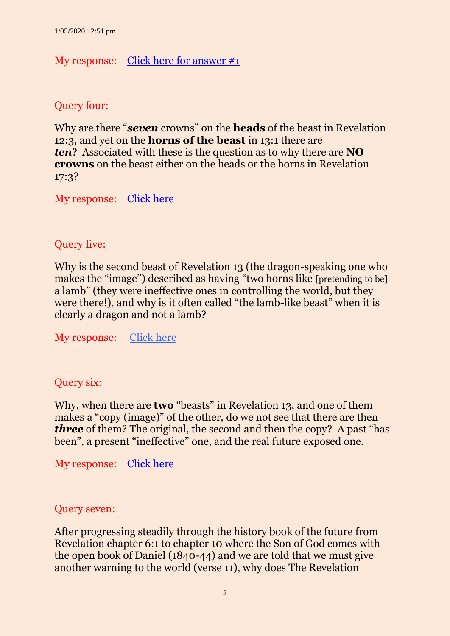## My response: [Click here for answer #1](http://ancient-sda.com/my_page/past_queries/beast_of_rev_13_mar_15.html)

Query four:

Why are there "*seven* crowns" on the **heads** of the beast in Revelation 12:3, and yet on the **horns of the beast** in 13:1 there are *ten*? Associated with these is the question as to why there are **NO crowns** on the beast either on the heads or the horns in Revelation 17:3?

My response: [Click here](http://ancient-sda.com/my_page/past_queries/crowns_on_beast_apr_15.html)

## Query five:

Why is the second beast of Revelation 13 (the dragon-speaking one who makes the "image") described as having "two horns like [pretending to be] a lamb" (they were ineffective ones in controlling the world, but they were there!), and why is it often called "the lamb-like beast" when it is clearly a dragon and not a lamb?

My response: [Click here](http://ancient-sda.com/my_page/past_queries/beasts_of_rev_13_more_jun_15.html)

## Query six:

Why, when there are **two** "beasts" in Revelation 13, and one of them makes a "copy (image)" of the other, do we not see that there are then *three* of them? The original, the second and then the copy? A past "has been", a present "ineffective" one, and the real future exposed one.

My response: [Click here](http://ancient-sda.com/my_page/past_queries/beast_third_rev_13_jul_15.html)

#### Query seven:

After progressing steadily through the history book of the future from Revelation chapter 6:1 to chapter 10 where the Son of God comes with the open book of Daniel (1840-44) and we are told that we must give another warning to the world (verse 11), why does The Revelation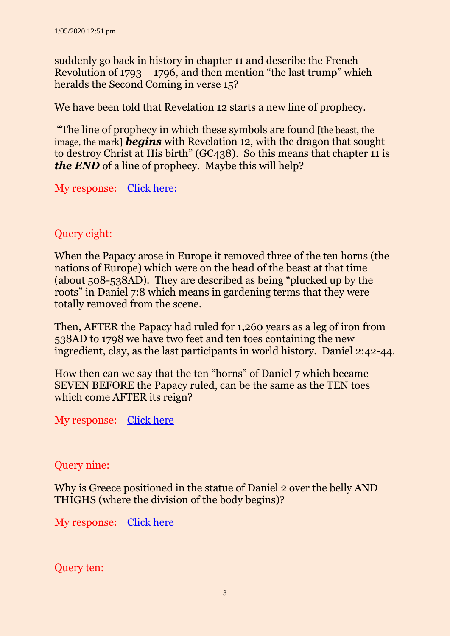suddenly go back in history in chapter 11 and describe the French Revolution of  $1793 - 1796$ , and then mention "the last trump" which heralds the Second Coming in verse 15?

We have been told that Revelation 12 starts a new line of prophecy.

"The line of prophecy in which these symbols are found [the beast, the image, the mark] *begins* with Revelation 12, with the dragon that sought to destroy Christ at His birth" (GC438). So this means that chapter 11 is *the END* of a line of prophecy. Maybe this will help?

My response: [Click here:](http://ancient-sda.com/my_page/past_queries/french_revolution_aug_15.html)

# Query eight:

When the Papacy arose in Europe it removed three of the ten horns (the nations of Europe) which were on the head of the beast at that time (about 508-538AD). They are described as being "plucked up by the roots" in Daniel 7:8 which means in gardening terms that they were totally removed from the scene.

Then, AFTER the Papacy had ruled for 1,260 years as a leg of iron from 538AD to 1798 we have two feet and ten toes containing the new ingredient, clay, as the last participants in world history. Daniel 2:42-44.

How then can we say that the ten "horns" of Daniel 7 which became SEVEN BEFORE the Papacy ruled, can be the same as the TEN toes which come AFTER its reign?

My response: [Click here](http://ancient-sda.com/my_page/past_queries/ten_horns_of_daniel_7_sep_2015.html)

## Query nine:

Why is Greece positioned in the statue of Daniel 2 over the belly AND THIGHS (where the division of the body begins)?

My response: [Click here](http://ancient-sda.com/my_page/past_queries/belly_thighs_oct_15.html)

Query ten: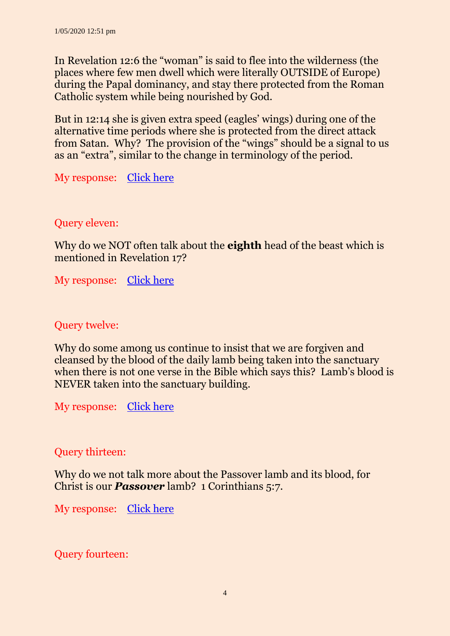In Revelation 12:6 the "woman" is said to flee into the wilderness (the places where few men dwell which were literally OUTSIDE of Europe) during the Papal dominancy, and stay there protected from the Roman Catholic system while being nourished by God.

But in 12:14 she is given extra speed (eagles' wings) during one of the alternative time periods where she is protected from the direct attack from Satan. Why? The provision of the "wings" should be a signal to us as an "extra", similar to the change in terminology of the period.

My response: [Click here](http://ancient-sda.com/my_page/past_queries/woman_who_fled_nov_2015.html)

## Query eleven:

Why do we NOT often talk about the **eighth** head of the beast which is mentioned in Revelation 17?

My response: [Click here](http://ancient-sda.com/my_page/past_queries/eighth_head_dec_2015.html)

## Query twelve:

Why do some among us continue to insist that we are forgiven and cleansed by the blood of the daily lamb being taken into the sanctuary when there is not one verse in the Bible which says this? Lamb's blood is NEVER taken into the sanctuary building.

My response: [Click here](http://ancient-sda.com/my_page/past_queries/lambs_blood_jan_16.html)

#### Query thirteen:

Why do we not talk more about the Passover lamb and its blood, for Christ is our *Passover* lamb? 1 Corinthians 5:7.

My response: [Click here](http://ancient-sda.com/my_page/past_queries/passover_ritual_feb_2016.html)

Query fourteen: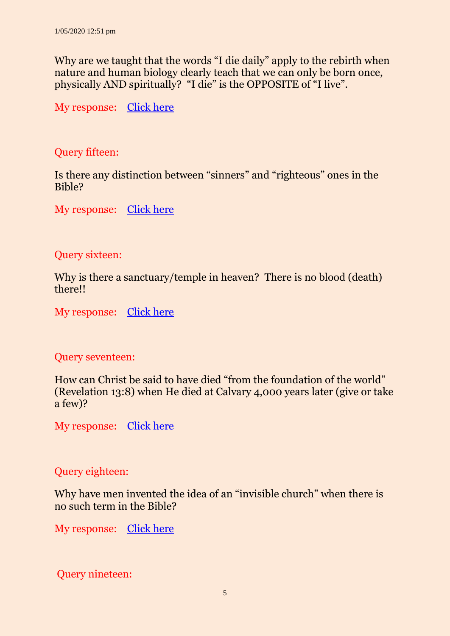Why are we taught that the words "I die daily" apply to the rebirth when nature and human biology clearly teach that we can only be born once, physically AND spiritually? "I die" is the OPPOSITE of "I live".

My response: [Click here](http://ancient-sda.com/my_page/past_queries/die_daily_mar_16.html)

Query fifteen:

Is there any distinction between "sinners" and "righteous" ones in the Bible?

My response: [Click here](http://ancient-sda.com/my_page/past_queries/saints_and_sinners_apr_16.html)

Query sixteen:

Why is there a sanctuary/temple in heaven? There is no blood (death) there!!

My response: [Click here](http://ancient-sda.com/my_page/past_queries/sanctuary_in_heaven_may_16.html)

## Query seventeen:

How can Christ be said to have died "from the foundation of the world" (Revelation 13:8) when He died at Calvary 4,000 years later (give or take a few)?

My response: [Click here](http://ancient-sda.com/my_page/past_queries/death_of_christ_jun_16.html)

## Query eighteen:

Why have men invented the idea of an "invisible church" when there is no such term in the Bible?

My response: [Click here](http://ancient-sda.com/my_page/past_queries/invisible_church_jul_16.html)

Query nineteen: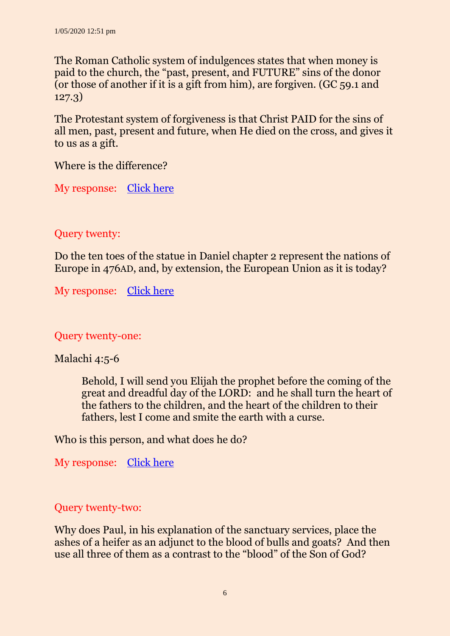The Roman Catholic system of indulgences states that when money is paid to the church, the "past, present, and FUTURE" sins of the donor (or those of another if it is a gift from him), are forgiven. (GC 59.1 and 127.3)

The Protestant system of forgiveness is that Christ PAID for the sins of all men, past, present and future, when He died on the cross, and gives it to us as a gift.

Where is the difference?

My response: [Click here](http://ancient-sda.com/my_page/past_queries/paying_for_sins.html)

## Query twenty:

Do the ten toes of the statue in Daniel chapter 2 represent the nations of Europe in 476AD, and, by extension, the European Union as it is today?

My response: [Click here](http://ancient-sda.com/my_page/past_queries/european_community_sep_16.html)

## Query twenty-one:

#### Malachi 4:5-6

Behold, I will send you Elijah the prophet before the coming of the great and dreadful day of the LORD: and he shall turn the heart of the fathers to the children, and the heart of the children to their fathers, lest I come and smite the earth with a curse.

Who is this person, and what does he do?

My response: [Click here](http://ancient-sda.com/queries/pdf_versions/query_2015_02_new_elijah.pdf)

## Query twenty-two:

Why does Paul, in his explanation of the sanctuary services, place the ashes of a heifer as an adjunct to the blood of bulls and goats? And then use all three of them as a contrast to the "blood" of the Son of God?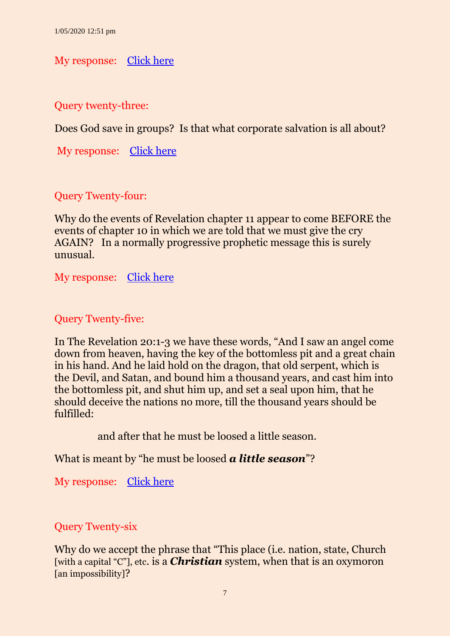My response: [Click here](http://ancient-sda.com/queries/pdf_versions/query_2016_11_ashes_of_heifer.pdf)

Query twenty-three:

Does God save in groups? Is that what corporate salvation is all about?

My response: [Click here](http://ancient-sda.com/queries/pdf_versions/query_2016_12_corporate_salvation.pdf)

Query Twenty-four:

Why do the events of Revelation chapter 11 appear to come BEFORE the events of chapter 10 in which we are told that we must give the cry AGAIN? In a normally progressive prophetic message this is surely unusual.

My response: [Click here](http://ancient-sda.com/queries/pdf_versions/query_2017_01_rev_11.pdf)

#### Query Twenty-five:

In The Revelation 20:1-3 we have these words, "And I saw an angel come down from heaven, having the key of the bottomless pit and a great chain in his hand. And he laid hold on the dragon, that old serpent, which is the Devil, and Satan, and bound him a thousand years, and cast him into the bottomless pit, and shut him up, and set a seal upon him, that he should deceive the nations no more, till the thousand years should be fulfilled:

and after that he must be loosed a little season.

What is meant by "he must be loosed *a little season*"?

My response: [Click here](http://ancient-sda.com/queries/pdf_versions/query_2017_02_little_season.pdf)

# Query Twenty-six

Why do we accept the phrase that "This place *(i.e. nation, state, Church*) [with a capital "C"], etc. is a *Christian* system, when that is an oxymoron [an impossibility]?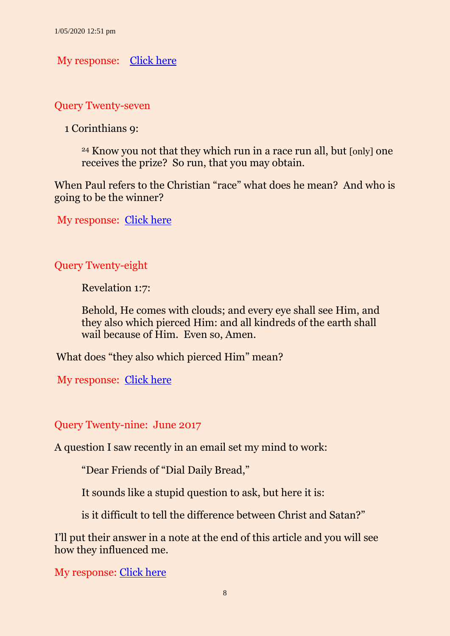My response: [Click here](http://ancient-sda.com/queries/pdf_versions/query_2017_03_understanding_bible.pdf)

Query Twenty-seven

1 Corinthians 9:

<sup>24</sup> Know you not that they which run in a race run all, but [only] one receives the prize? So run, that you may obtain.

When Paul refers to the Christian "race" what does he mean? And who is going to be the winner?

My response: [Click here](http://ancient-sda.com/queries/pdf_versions/query_2017_04_christian_race.pdf)

Query Twenty-eight

Revelation 1:7:

Behold, He comes with clouds; and every eye shall see Him, and they also which pierced Him: and all kindreds of the earth shall wail because of Him. Even so, Amen.

What does "they also which pierced Him" mean?

My response: [Click here](http://ancient-sda.com/queries/pdf_versions/query_2017_05_mini_resurrection.pdf)

Query Twenty-nine: June 2017

A question I saw recently in an email set my mind to work:

"Dear Friends of "Dial Daily Bread,"

It sounds like a stupid question to ask, but here it is:

is it difficult to tell the difference between Christ and Satan?"

I'll put their answer in a note at the end of this article and you will see how they influenced me.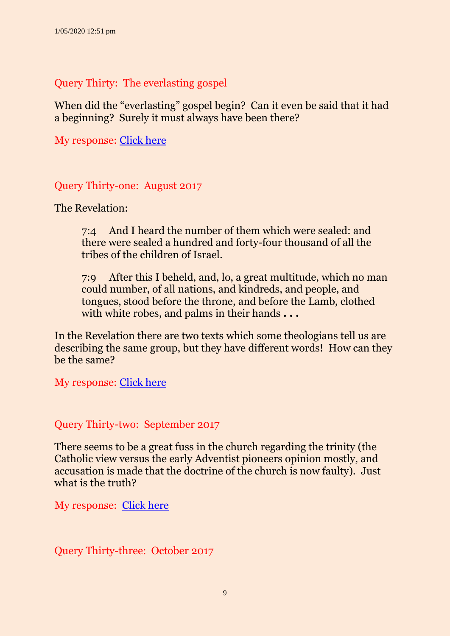Query Thirty: The everlasting gospel

When did the "everlasting" gospel begin? Can it even be said that it had a beginning? Surely it must always have been there?

My response: [Click here](http://ancient-sda.com/queries/pdf_versions/query_2017_07_everlasting_gospel.pdf)

Query Thirty-one: August 2017

The Revelation:

7:4 And I heard the number of them which were sealed: and there were sealed a hundred and forty-four thousand of all the tribes of the children of Israel.

7:9 After this I beheld, and, lo, a great multitude, which no man could number, of all nations, and kindreds, and people, and tongues, stood before the throne, and before the Lamb, clothed with white robes, and palms in their hands **. . .** 

In the Revelation there are two texts which some theologians tell us are describing the same group, but they have different words! How can they be the same?

My response: [Click here](http://ancient-sda.com/queries/pdf_versions/query_2017_08_144000_multitude.pdf)

Query Thirty-two: September 2017

There seems to be a great fuss in the church regarding the trinity (the Catholic view versus the early Adventist pioneers opinion mostly, and accusation is made that the doctrine of the church is now faulty). Just what is the truth?

My response: [Click here](http://ancient-sda.com/queries/pdf_versions/query_2017_09_trinity_doctrine.pdf)

Query Thirty-three: October 2017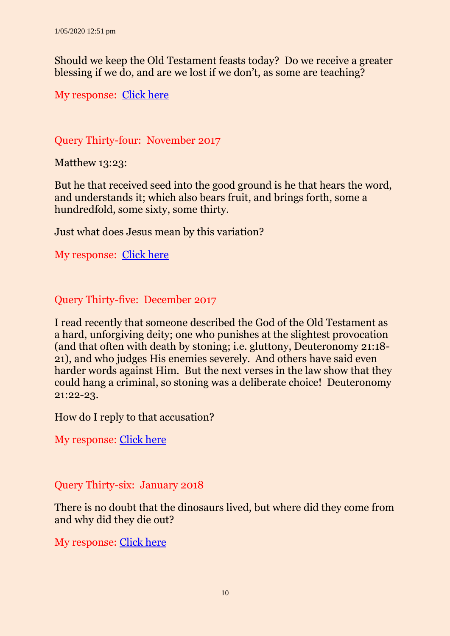Should we keep the Old Testament feasts today? Do we receive a greater blessing if we do, and are we lost if we don't, as some are teaching?

My response: [Click here](http://ancient-sda.com/queries/pdf_versions/query_2017_10_keeping_feasts_today.pdf)

# Query Thirty-four: November 2017

Matthew 13:23:

But he that received seed into the good ground is he that hears the word, and understands it; which also bears fruit, and brings forth, some a hundredfold, some sixty, some thirty.

Just what does Jesus mean by this variation?

My response: [Click here](http://ancient-sda.com/queries/pdf_versions/query_2017_11_producing_fruit.pdf)

Query Thirty-five: December 2017

I read recently that someone described the God of the Old Testament as a hard, unforgiving deity; one who punishes at the slightest provocation (and that often with death by stoning; i.e. gluttony, Deuteronomy 21:18- 21), and who judges His enemies severely. And others have said even harder words against Him. But the next verses in the law show that they could hang a criminal, so stoning was a deliberate choice! Deuteronomy 21:22-23.

How do I reply to that accusation?

My response: [Click here](http://ancient-sda.com/queries/pdf_versions/query_2017_12_god_old_testament.pdf)

## Query Thirty-six: January 2018

There is no doubt that the dinosaurs lived, but where did they come from and why did they die out?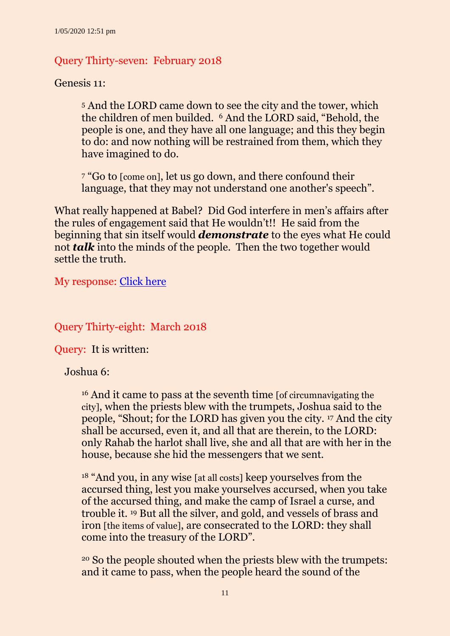## Query Thirty-seven: February 2018

Genesis 11:

<sup>5</sup> And the LORD came down to see the city and the tower, which the children of men builded. <sup>6</sup> And the LORD said, "Behold, the people is one, and they have all one language; and this they begin to do: and now nothing will be restrained from them, which they have imagined to do.

<sup>7</sup> "Go to [come on], let us go down, and there confound their language, that they may not understand one another's speech".

What really happened at Babel? Did God interfere in men's affairs after the rules of engagement said that He wouldn't!! He said from the beginning that sin itself would *demonstrate* to the eyes what He could not *talk* into the minds of the people. Then the two together would settle the truth.

My response: [Click here](http://ancient-sda.com/queries/pdf_versions/query_2018_02_confounding_speech.pdf)

Query Thirty-eight: March 2018

Query: It is written:

Joshua 6:

<sup>16</sup> And it came to pass at the seventh time [of circumnavigating the city], when the priests blew with the trumpets, Joshua said to the people, "Shout; for the LORD has given you the city. <sup>17</sup> And the city shall be accursed, even it, and all that are therein, to the LORD: only Rahab the harlot shall live, she and all that are with her in the house, because she hid the messengers that we sent.

<sup>18</sup> "And you, in any wise [at all costs] keep yourselves from the accursed thing, lest you make yourselves accursed, when you take of the accursed thing, and make the camp of Israel a curse, and trouble it. <sup>19</sup> But all the silver, and gold, and vessels of brass and iron [the items of value], are consecrated to the LORD: they shall come into the treasury of the LORD".

<sup>20</sup> So the people shouted when the priests blew with the trumpets: and it came to pass, when the people heard the sound of the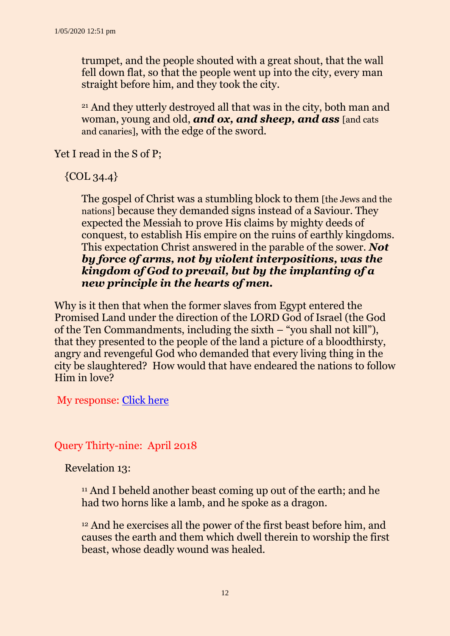trumpet, and the people shouted with a great shout, that the wall fell down flat, so that the people went up into the city, every man straight before him, and they took the city.

<sup>21</sup> And they utterly destroyed all that was in the city, both man and woman, young and old, *and ox, and sheep, and ass* [and cats and canaries], with the edge of the sword.

Yet I read in the S of P;

 $\{COL, 34.4\}$ 

The gospel of Christ was a stumbling block to them [the Jews and the nations] because they demanded signs instead of a Saviour. They expected the Messiah to prove His claims by mighty deeds of conquest, to establish His empire on the ruins of earthly kingdoms. This expectation Christ answered in the parable of the sower. *Not by force of arms, not by violent interpositions, was the kingdom of God to prevail, but by the implanting of a new principle in the hearts of men.*

Why is it then that when the former slaves from Egypt entered the Promised Land under the direction of the LORD God of Israel (the God of the Ten Commandments, including the sixth – "you shall not kill"), that they presented to the people of the land a picture of a bloodthirsty, angry and revengeful God who demanded that every living thing in the city be slaughtered? How would that have endeared the nations to follow Him in love?

My response: [Click here](http://ancient-sda.com/queries/pdf_versions/query_2018_03_jericho.pdf)

Query Thirty-nine: April 2018

Revelation 13:

<sup>11</sup> And I beheld another beast coming up out of the earth; and he had two horns like a lamb, and he spoke as a dragon.

<sup>12</sup> And he exercises all the power of the first beast before him, and causes the earth and them which dwell therein to worship the first beast, whose deadly wound was healed.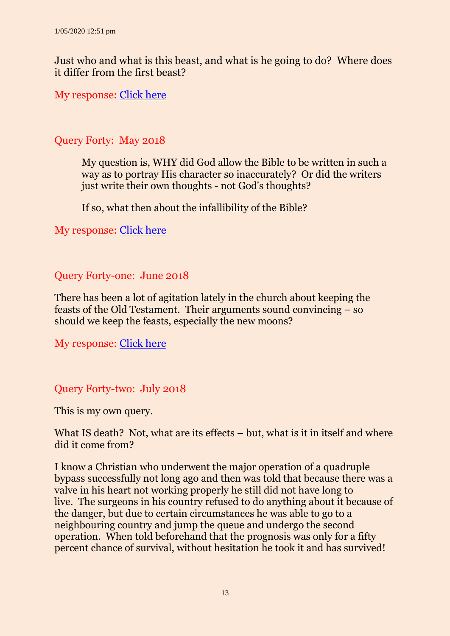Just who and what is this beast, and what is he going to do? Where does it differ from the first beast?

My response: [Click here](http://ancient-sda.com/queries/pdf_versions/query_2018_04_second_beast.pdf)

### Query Forty: May 2018

My question is, WHY did God allow the Bible to be written in such a way as to portray His character so inaccurately? Or did the writers just write their own thoughts - not God's thoughts?

If so, what then about the infallibility of the Bible?

My response: [Click here](http://ancient-sda.com/queries/pdf_versions/query_2018_05_infallible_bible.pdf)

#### Query Forty-one: June 2018

There has been a lot of agitation lately in the church about keeping the feasts of the Old Testament. Their arguments sound convincing – so should we keep the feasts, especially the new moons?

My response: [Click here](http://ancient-sda.com/queries/pdf_versions/query_2018_06_keeping_the_feasts.pdf)

Query Forty-two: July 2018

This is my own query.

What IS death? Not, what are its effects – but, what is it in itself and where did it come from?

I know a Christian who underwent the major operation of a quadruple bypass successfully not long ago and then was told that because there was a valve in his heart not working properly he still did not have long to live. The surgeons in his country refused to do anything about it because of the danger, but due to certain circumstances he was able to go to a neighbouring country and jump the queue and undergo the second operation. When told beforehand that the prognosis was only for a fifty percent chance of survival, without hesitation he took it and has survived!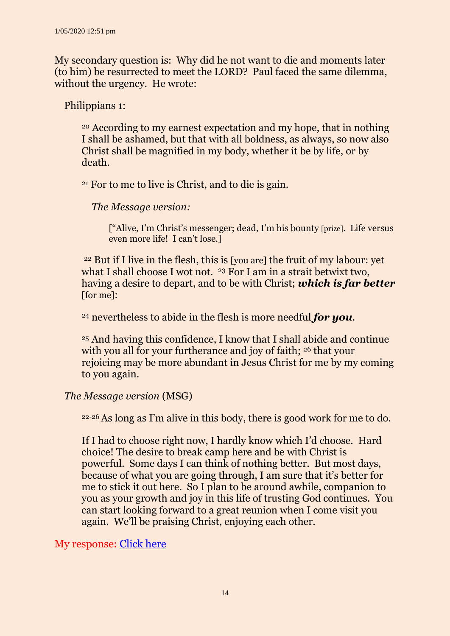My secondary question is: Why did he not want to die and moments later (to him) be resurrected to meet the LORD? Paul faced the same dilemma, without the urgency. He wrote:

Philippians 1:

<sup>20</sup> According to my earnest expectation and my hope, that in nothing I shall be ashamed, but that with all boldness, as always, so now also Christ shall be magnified in my body, whether it be by life, or by death.

<sup>21</sup> For to me to live is Christ, and to die is gain.

 *The Message version:*

["Alive, I'm Christ's messenger; dead, I'm his bounty [prize]. Life versus even more life! I can't lose.]

<sup>22</sup> But if I live in the flesh, this is [you are] the fruit of my labour: yet what I shall choose I wot not. <sup>23</sup> For I am in a strait betwixt two, having a desire to depart, and to be with Christ; *which is far better*  [for me]:

<sup>24</sup> nevertheless to abide in the flesh is more needful *for you*.

<sup>25</sup> And having this confidence, I know that I shall abide and continue with you all for your furtherance and joy of faith; <sup>26</sup> that your rejoicing may be more abundant in Jesus Christ for me by my coming to you again.

#### *The Message version* (MSG)

22-26As long as I'm alive in this body, there is good work for me to do.

If I had to choose right now, I hardly know which I'd choose. Hard choice! The desire to break camp here and be with Christ is powerful. Some days I can think of nothing better. But most days, because of what you are going through, I am sure that it's better for me to stick it out here. So I plan to be around awhile, companion to you as your growth and joy in this life of trusting God continues. You can start looking forward to a great reunion when I come visit you again. We'll be praising Christ, enjoying each other.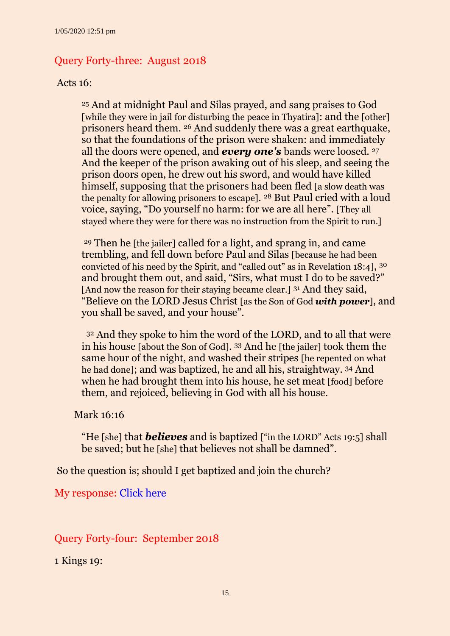## Query Forty-three: August 2018

#### Acts 16:

<sup>25</sup> And at midnight Paul and Silas prayed, and sang praises to God [while they were in jail for disturbing the peace in Thyatira]: and the [other] prisoners heard them. <sup>26</sup> And suddenly there was a great earthquake, so that the foundations of the prison were shaken: and immediately all the doors were opened, and *every one's* bands were loosed. <sup>27</sup> And the keeper of the prison awaking out of his sleep, and seeing the prison doors open, he drew out his sword, and would have killed himself, supposing that the prisoners had been fled [a slow death was the penalty for allowing prisoners to escape]. <sup>28</sup> But Paul cried with a loud voice, saying, "Do yourself no harm: for we are all here". [They all stayed where they were for there was no instruction from the Spirit to run.]

<sup>29</sup> Then he [the jailer] called for a light, and sprang in, and came trembling, and fell down before Paul and Silas [because he had been convicted of his need by the Spirit, and "called out" as in Revelation 18:4], <sup>30</sup> and brought them out, and said, "Sirs, what must I do to be saved?" [And now the reason for their staying became clear.] <sup>31</sup> And they said, "Believe on the LORD Jesus Christ [as the Son of God *with power*], and you shall be saved, and your house".

<sup>32</sup> And they spoke to him the word of the LORD, and to all that were in his house [about the Son of God]. <sup>33</sup> And he [the jailer] took them the same hour of the night, and washed their stripes [he repented on what he had done]; and was baptized, he and all his, straightway. <sup>34</sup> And when he had brought them into his house, he set meat [food] before them, and rejoiced, believing in God with all his house.

#### Mark 16:16

"He [she] that *believes* and is baptized ["in the LORD" Acts 19:5] shall be saved; but he [she] that believes not shall be damned".

So the question is; should I get baptized and join the church?

My response: [Click](http://ancient-sda.com/queries/pdf_versions/query_2018_08_joining_the_church.pdf) here

Query Forty-four: September 2018

1 Kings 19: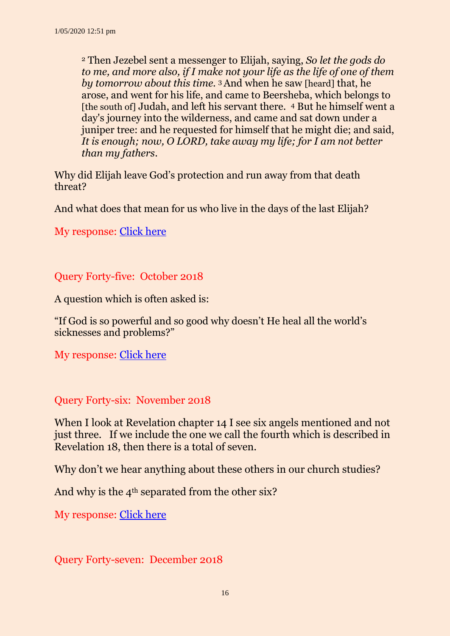<sup>2</sup> Then Jezebel sent a messenger to Elijah, saying, *So let the gods do to me, and more also, if I make not your life as the life of one of them by tomorrow about this time.* 3 And when he saw [heard] that, he arose, and went for his life, and came to Beersheba, which belongs to [the south of] Judah, and left his servant there. <sup>4</sup> But he himself went a day's journey into the wilderness, and came and sat down under a juniper tree: and he requested for himself that he might die; and said, *It is enough; now, O LORD, take away my life; for I am not better than my fathers*.

Why did Elijah leave God's protection and run away from that death threat?

And what does that mean for us who live in the days of the last Elijah?

My response: [Click here](http://ancient-sda.com/queries/pdf_versions/query_2018_09_elijahs_work.pdf)

Query Forty-five: October 2018

A question which is often asked is:

"If God is so powerful and so good why doesn't He heal all the world's sicknesses and problems?"

My response: [Click here](http://ancient-sda.com/queries/pdf_versions/query_2018_10_why_is_world_in_a_mess.pdf)

#### Query Forty-six: November 2018

When I look at Revelation chapter 14 I see six angels mentioned and not just three. If we include the one we call the fourth which is described in Revelation 18, then there is a total of seven.

Why don't we hear anything about these others in our church studies?

And why is the 4<sup>th</sup> separated from the other six?

My response: [Click here](http://ancient-sda.com/queries/pdf_versions/query_2018_11_seven_angels_rev_14.pdf)

Query Forty-seven: December 2018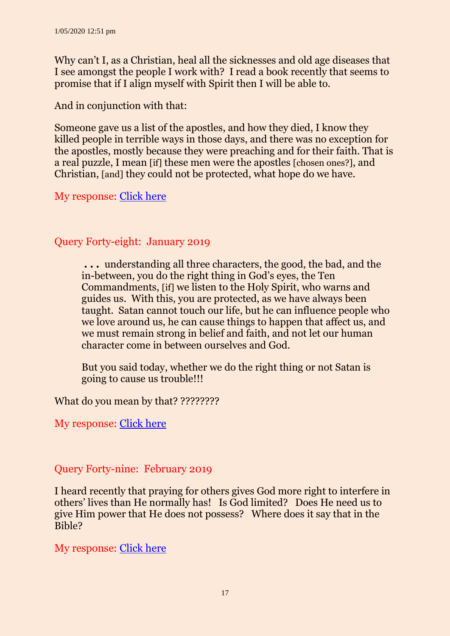Why can't I, as a Christian, heal all the sicknesses and old age diseases that I see amongst the people I work with? I read a book recently that seems to promise that if I align myself with Spirit then I will be able to.

And in conjunction with that:

Someone gave us a list of the apostles, and how they died, I know they killed people in terrible ways in those days, and there was no exception for the apostles, mostly because they were preaching and for their faith. That is a real puzzle, I mean [if] these men were the apostles [chosen ones?], and Christian, [and] they could not be protected, what hope do we have.

My response: [Click here](http://ancient-sda.com/queries/pdf_versions/query_2018_12_persecutions_etc.pdf)

# Query Forty-eight: January 2019

**. . .** understanding all three characters, the good, the bad, and the in-between, you do the right thing in God's eyes, the Ten Commandments, [if] we listen to the Holy Spirit, who warns and guides us. With this, you are protected, as we have always been taught. Satan cannot touch our life, but he can influence people who we love around us, he can cause things to happen that affect us, and we must remain strong in belief and faith, and not let our human character come in between ourselves and God.

But you said today, whether we do the right thing or not Satan is going to cause us trouble!!!

What do you mean by that? ????????

My response: [Click here](http://ancient-sda.com/queries/pdf_versions/query_2019_01_ultimate_experience.pdf)

# Query Forty-nine: February 2019

I heard recently that praying for others gives God more right to interfere in others' lives than He normally has! Is God limited? Does He need us to give Him power that He does not possess? Where does it say that in the Bible?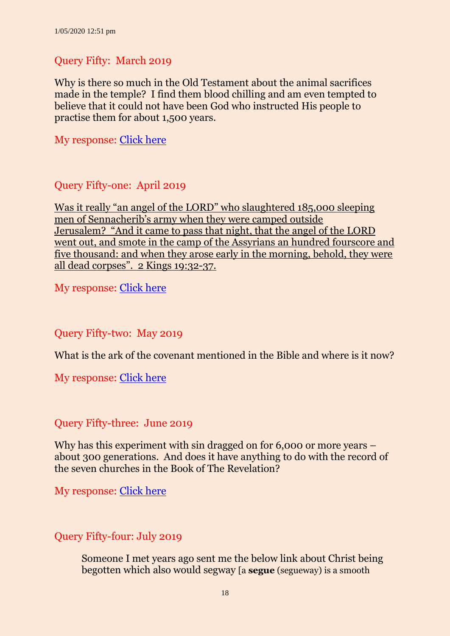## Query Fifty: March 2019

Why is there so much in the Old Testament about the animal sacrifices made in the temple? I find them blood chilling and am even tempted to believe that it could not have been God who instructed His people to practise them for about 1,500 years.

My response: [Click here](http://ancient-sda.com/queries/pdf_versions/meaning_of_sacrifices_mar_19.pdf)

#### Query Fifty-one: April 2019

Was it really "an angel of the LORD" who slaughtered 185,000 sleeping men of Sennacherib's army when they were camped outside Jerusalem? "And it came to pass that night, that the angel of the LORD went out, and smote in the camp of the Assyrians an hundred fourscore and five thousand: and when they arose early in the morning, behold, they were all dead corpses". 2 Kings 19:32-37.

My response: [Click here](http://ancient-sda.com/queries/pdf_versions/query_2019_04_killing_assyrians.pdf)

#### Query Fifty-two: May 2019

What is the ark of the covenant mentioned in the Bible and where is it now?

My response: [Click here](http://ancient-sda.com/queries/pdf_versions/query_2019_05_ark_covenant_pdf)

#### Query Fifty-three: June 2019

Why has this experiment with sin dragged on for 6,000 or more years – about 300 generations. And does it have anything to do with the record of the seven churches in the Book of The Revelation?

My response: [Click here](http://ancient-sda.com/queries/pdf_versions/query_2019_06_church_god.pdf)

## Query Fifty-four: July 2019

Someone I met years ago sent me the below link about Christ being begotten which also would segway [a **segue** (segueway) is a smooth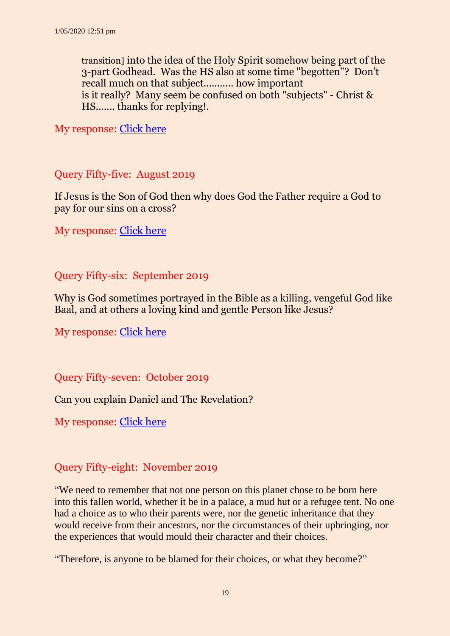transition] into the idea of the Holy Spirit somehow being part of the 3-part Godhead. Was the HS also at some time "begotten"? Don't recall much on that subject........... how important is it really? Many seem be confused on both "subjects" - Christ & HS....... thanks for replying!.

My response: [Click here](http://ancient-sda.com/queries/pdf_versions/query_2019_07_begotten_of_god_pdf)

#### Query Fifty-five: August 2019

If Jesus is the Son of God then why does God the Father require a God to pay for our sins on a cross?

My response: [Click here](http://ancient-sda.com/queries/pdf_versions/query_2019_08_god_pay_for_sins_pdf)

#### Query Fifty-six: September 2019

Why is God sometimes portrayed in the Bible as a killing, vengeful God like Baal, and at others a loving kind and gentle Person like Jesus?

My response: [Click here](http://ancient-sda.com/queries/pdf_versions/query_2019_09_the_dilemma.pdf)

Query Fifty-seven: October 2019

Can you explain Daniel and The Revelation?

My response: [Click here](https://ancient-sda.com/my_page/version_pdf/query_57_2019_10_daniel_and_the_revelation.pdf)

#### Query Fifty-eight: November 2019

"We need to remember that not one person on this planet chose to be born here into this fallen world, whether it be in a palace, a mud hut or a refugee tent. No one had a choice as to who their parents were, nor the genetic inheritance that they would receive from their ancestors, nor the circumstances of their upbringing, nor the experiences that would mould their character and their choices.

"Therefore, is anyone to be blamed for their choices, or what they become?"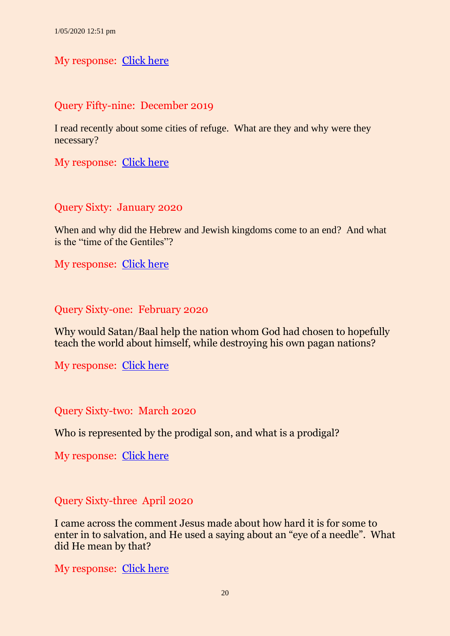#### My response: [Click here](https://ancient-sda.com/my_page/version_pdf/query_58_2019_11_the_blame_game.pdf)

## Query Fifty-nine: December 2019

I read recently about some cities of refuge. What are they and why were they necessary?

My response: [Click here](https://ancient-sda.com/my_page/version_pdf/query_59_2019_12_cities_of_refuge.pdf)

Query Sixty: January 2020

When and why did the Hebrew and Jewish kingdoms come to an end? And what is the "time of the Gentiles"?

My response: [Click here](https://ancient-sda.com/my_page/version_pdf/query_60_2020_01_kingdoms_end.pdf)

Query Sixty-one: February 2020

Why would Satan/Baal help the nation whom God had chosen to hopefully teach the world about himself, while destroying his own pagan nations?

My response: [Click here](https://ancient-sda.com/my_page/version_pdf/query_61_2020_02_why_help_israel_destroy.pdf)

Query Sixty-two: March 2020

Who is represented by the prodigal son, and what is a prodigal?

My response: [Click here](https://ancient-sda.com/my_page/version_pdf/query_62_2020_03_the_prodigal_son.pdf)

Query Sixty-three April 2020

I came across the comment Jesus made about how hard it is for some to enter in to salvation, and He used a saying about an "eye of a needle". What did He mean by that?